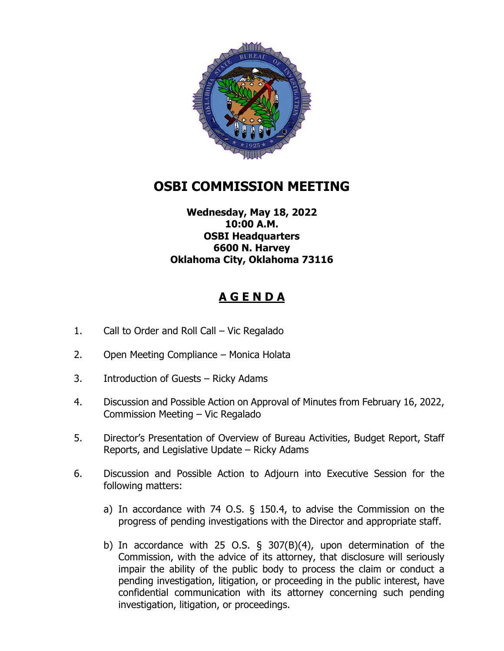

## **OSBI COMMISSION MEETING**

## **Wednesday, May 18, 2022 10:00 A.M. OSBI Headquarters 6600 N. Harvey Oklahoma City, Oklahoma 73116**

## **A G E N D A**

- 1. Call to Order and Roll Call Vic Regalado
- 2. Open Meeting Compliance Monica Holata
- 3. Introduction of Guests Ricky Adams
- 4. Discussion and Possible Action on Approval of Minutes from February 16, 2022, Commission Meeting – Vic Regalado
- 5. Director's Presentation of Overview of Bureau Activities, Budget Report, Staff Reports, and Legislative Update – Ricky Adams
- 6. Discussion and Possible Action to Adjourn into Executive Session for the following matters:
	- a) In accordance with 74 O.S. § 150.4, to advise the Commission on the progress of pending investigations with the Director and appropriate staff.
	- b) In accordance with 25 O.S. § 307(B)(4), upon determination of the Commission, with the advice of its attorney, that disclosure will seriously impair the ability of the public body to process the claim or conduct a pending investigation, litigation, or proceeding in the public interest, have confidential communication with its attorney concerning such pending investigation, litigation, or proceedings.